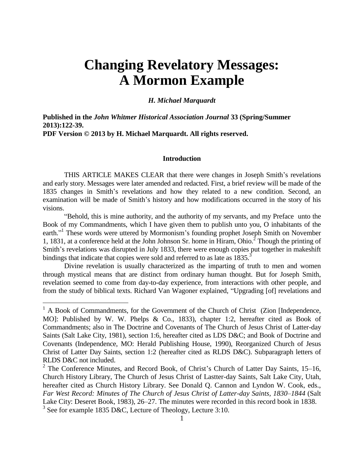# **Changing Revelatory Messages: A Mormon Example**

#### *H. Michael Marquardt*

**Published in the** *John Whitmer Historical Association Journal* **33 (Spring/Summer 2013):122-39. PDF Version © 2013 by H. Michael Marquardt. All rights reserved.** 

#### **Introduction**

THIS ARTICLE MAKES CLEAR that there were changes in Joseph Smith's revelations and early story. Messages were later amended and redacted. First, a brief review will be made of the 1835 changes in Smith's revelations and how they related to a new condition. Second, an examination will be made of Smith's history and how modifications occurred in the story of his visions.

"Behold, this is mine authority, and the authority of my servants, and my Preface unto the Book of my Commandments, which I have given them to publish unto you, O inhabitants of the earth."<sup>1</sup> These words were uttered by Mormonism's founding prophet Joseph Smith on November 1, 1831, at a conference held at the John Johnson Sr. home in Hiram, Ohio. $\frac{1}{2}$  Though the printing of Smith's revelations was disrupted in July 1833, there were enough copies put together in makeshift bindings that indicate that copies were sold and referred to as late as 1835.<sup>3</sup>

Divine revelation is usually characterized as the imparting of truth to men and women through mystical means that are distinct from ordinary human thought. But for Joseph Smith, revelation seemed to come from day-to-day experience, from interactions with other people, and from the study of biblical texts. Richard Van Wagoner explained, "Upgrading [of] revelations and

<sup>&</sup>lt;sup>1</sup> A Book of Commandments, for the Government of the Church of Christ (Zion [Independence, MO]: Published by W. W. Phelps & Co., 1833), chapter 1:2, hereafter cited as Book of Commandments; also in The Doctrine and Covenants of The Church of Jesus Christ of Latter-day Saints (Salt Lake City, 1981), section 1:6, hereafter cited as LDS D&C; and Book of Doctrine and Covenants (Independence, MO: Herald Publishing House, 1990), Reorganized Church of Jesus Christ of Latter Day Saints, section 1:2 (hereafter cited as RLDS D&C). Subparagraph letters of RLDS D&C not included.

<sup>&</sup>lt;sup>2</sup> The Conference Minutes, and Record Book, of Christ's Church of Latter Day Saints, 15–16, Church History Library, The Church of Jesus Christ of Lastter-day Saints, Salt Lake City, Utah, hereafter cited as Church History Library. See Donald Q. Cannon and Lyndon W. Cook, eds., *Far West Record: Minutes of The Church of Jesus Christ of Latter-day Saints, 1830–1844* (Salt Lake City: Deseret Book, 1983), 26–27. The minutes were recorded in this record book in 1838. <sup>3</sup> See for example 1835 D&C, Lecture of Theology, Lecture 3:10.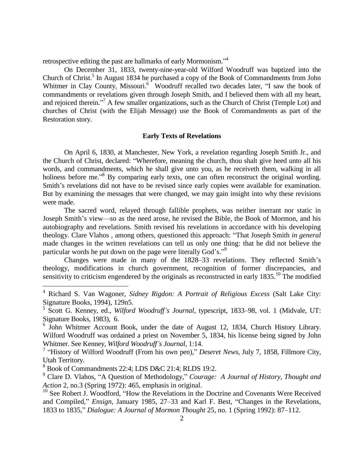retrospective editing the past are hallmarks of early Mormonism."<sup>4</sup>

On December 31, 1833, twenty-nine-year-old Wilford Woodruff was baptized into the Church of Christ.<sup>5</sup> In August 1834 he purchased a copy of the Book of Commandments from John Whitmer in Clay County, Missouri.<sup>6</sup> Woodruff recalled two decades later, "I saw the book of commandments or revelations given through Joseph Smith, and I believed them with all my heart, and rejoiced therein."<sup>7</sup> A few smaller organizations, such as the Church of Christ (Temple Lot) and churches of Christ (with the Elijah Message) use the Book of Commandments as part of the Restoration story.

#### **Early Texts of Revelations**

On April 6, 1830, at Manchester, New York, a revelation regarding Joseph Smith Jr., and the Church of Christ, declared: "Wherefore, meaning the church, thou shalt give heed unto all his words, and commandments, which he shall give unto you, as he receiveth them, walking in all holiness before me."<sup>8</sup> By comparing early texts, one can often reconstruct the original wording. Smith's revelations did not have to be revised since early copies were available for examination. But by examining the messages that were changed, we may gain insight into why these revisions were made.

The sacred word, relayed through fallible prophets, was neither inerrant nor static in Joseph Smith's view—so as the need arose, he revised the Bible, the Book of Mormon, and his autobiography and revelations. Smith revised his revelations in accordance with his developing theology. Clare Vlahos , among others, questioned this approach: "That Joseph Smith *in general* made changes in the written revelations can tell us only one thing: that he did not believe the particular words he put down on the page were literally God's."<sup>9</sup>

Changes were made in many of the 1828–33 revelations. They reflected Smith's theology, modifications in church government, recognition of former discrepancies, and sensitivity to criticism engendered by the originals as reconstructed in early 1835.<sup>10</sup> The modified

<sup>4</sup> Richard S. Van Wagoner, *Sidney Rigdon: A Portrait of Religious Excess* (Salt Lake City: Signature Books, 1994), 129n5.

<sup>5</sup> Scott G. Kenney, ed., *Wilford Woodruff's Journal*, typescript, 1833–98, vol. 1 (Midvale, UT: Signature Books, 1983), 6.

<sup>&</sup>lt;sup>6</sup> John Whitmer Account Book, under the date of August 12, 1834, Church History Library. Wilford Woodruff was ordained a priest on November 5, 1834, his license being signed by John Whitmer. See Kenney, *Wilford Woodruff's Journal*, 1:14.

<sup>&</sup>lt;sup>7</sup> "History of Wilford Woodruff (From his own pen)," *Deseret News*, July 7, 1858, Fillmore City, Utah Territory.

<sup>8</sup> Book of Commandments 22:4; LDS D&C 21:4; RLDS 19:2.

<sup>9</sup> Clare D. Vlahos, "A Question of Methodology," *Courage: A Journal of History, Thought and Action* 2, no.3 (Spring 1972): 465, emphasis in original.

<sup>&</sup>lt;sup>10</sup> See Robert J. Woodford, "How the Revelations in the Doctrine and Covenants Were Received and Compiled," *Ensign*, January 1985, 27–33 and Karl F. Best, "Changes in the Revelations, 1833 to 1835," *Dialogue: A Journal of Mormon Thought* 25, no. 1 (Spring 1992): 87–112.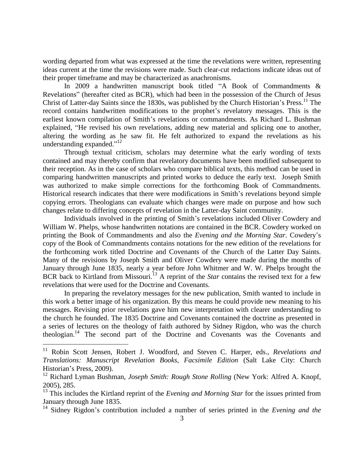wording departed from what was expressed at the time the revelations were written, representing ideas current at the time the revisions were made. Such clear-cut redactions indicate ideas out of their proper timeframe and may be characterized as anachronisms.

In 2009 a handwritten manuscript book titled "A Book of Commandments & Revelations" (hereafter cited as BCR), which had been in the possession of the Church of Jesus Christ of Latter-day Saints since the 1830s, was published by the Church Historian's Press.<sup>11</sup> The record contains handwritten modifications to the prophet's revelatory messages. This is the earliest known compilation of Smith's revelations or commandments. As Richard L. Bushman explained, "He revised his own revelations, adding new material and splicing one to another, altering the wording as he saw fit. He felt authorized to expand the revelations as his understanding expanded."<sup>12</sup>

Through textual criticism, scholars may determine what the early wording of texts contained and may thereby confirm that revelatory documents have been modified subsequent to their reception. As in the case of scholars who compare biblical texts, this method can be used in comparing handwritten manuscripts and printed works to deduce the early text. Joseph Smith was authorized to make simple corrections for the forthcoming Book of Commandments. Historical research indicates that there were modifications in Smith's revelations beyond simple copying errors. Theologians can evaluate which changes were made on purpose and how such changes relate to differing concepts of revelation in the Latter-day Saint community.

Individuals involved in the printing of Smith's revelations included Oliver Cowdery and William W. Phelps, whose handwritten notations are contained in the BCR. Cowdery worked on printing the Book of Commandments and also the *Evening and the Morning Star*. Cowdery's copy of the Book of Commandments contains notations for the new edition of the revelations for the forthcoming work titled Doctrine and Covenants of the Church of the Latter Day Saints. Many of the revisions by Joseph Smith and Oliver Cowdery were made during the months of January through June 1835, nearly a year before John Whitmer and W. W. Phelps brought the BCR back to Kirtland from Missouri.<sup>13</sup> A reprint of the *Star* contains the revised text for a few revelations that were used for the Doctrine and Covenants.

In preparing the revelatory messages for the new publication, Smith wanted to include in this work a better image of his organization. By this means he could provide new meaning to his messages. Revising prior revelations gave him new interpretation with clearer understanding to the church he founded. The 1835 Doctrine and Covenants contained the doctrine as presented in a series of lectures on the theology of faith authored by Sidney Rigdon, who was the church theologian.<sup>14</sup> The second part of the Doctrine and Covenants was the Covenants and

<sup>11</sup> Robin Scott Jensen, Robert J. Woodford, and Steven C. Harper, eds., *Revelations and Translations: Manuscript Revelation Books, Facsimile Edition* (Salt Lake City: Church Historian's Press, 2009).

<sup>12</sup> Richard Lyman Bushman, *Joseph Smith: Rough Stone Rolling* (New York: Alfred A. Knopf, 2005), 285.

<sup>&</sup>lt;sup>13</sup> This includes the Kirtland reprint of the *Evening and Morning Star* for the issues printed from January through June 1835.

<sup>14</sup> Sidney Rigdon's contribution included a number of series printed in the *Evening and the*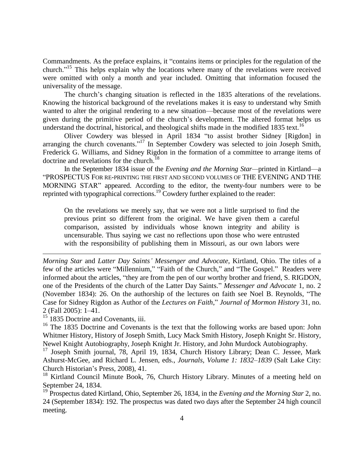Commandments. As the preface explains, it "contains items or principles for the regulation of the church." <sup>15</sup> This helps explain why the locations where many of the revelations were received were omitted with only a month and year included. Omitting that information focused the universality of the message.

The church's changing situation is reflected in the 1835 alterations of the revelations. Knowing the historical background of the revelations makes it is easy to understand why Smith wanted to alter the original rendering to a new situation—because most of the revelations were given during the primitive period of the church's development. The altered format helps us understand the doctrinal, historical, and theological shifts made in the modified 1835 text.<sup>16</sup>

Oliver Cowdery was blessed in April 1834 "to assist brother Sidney [Rigdon] in arranging the church covenants."<sup>17</sup> In September Cowdery was selected to join Joseph Smith, Frederick G. Williams, and Sidney Rigdon in the formation of a committee to arrange items of doctrine and revelations for the church.<sup>18</sup>

In the September 1834 issue of the *Evening and the Morning Star—*printed in Kirtland—a "PROSPECTUS FOR RE-PRINTING THE FIRST AND SECOND VOLUMES OF THE EVENING AND THE MORNING STAR" appeared. According to the editor, the twenty-four numbers were to be reprinted with typographical corrections.<sup>19</sup> Cowdery further explained to the reader:

On the revelations we merely say, that we were not a little surprised to find the previous print so different from the original. We have given them a careful comparison, assisted by individuals whose known integrity and ability is uncensurable. Thus saying we cast no reflections upon those who were entrusted with the responsibility of publishing them in Missouri, as our own labors were

*Morning Star* and *Latter Day Saints' Messenger and Advocate*, Kirtland, Ohio. The titles of a few of the articles were "Millennium," "Faith of the Church," and "The Gospel." Readers were informed about the articles, "they are from the pen of our worthy brother and friend, S. RIGDON, one of the Presidents of the church of the Latter Day Saints." *Messenger and Advocate* 1, no. 2 (November 1834): 26. On the authorship of the lectures on faith see Noel B. Reynolds, "The Case for Sidney Rigdon as Author of the *Lectures on Faith*," *Journal of Mormon History* 31, no. 2 (Fall 2005): 1–41.

 $15$  1835 Doctrine and Covenants, iii.

i.

<sup>16</sup> The 1835 Doctrine and Covenants is the text that the following works are based upon: John Whitmer History, History of Joseph Smith, Lucy Mack Smith History, Joseph Knight Sr. History, Newel Knight Autobiography, Joseph Knight Jr. History, and John Murdock Autobiography.

<sup>17</sup> Joseph Smith journal, 78, April 19, 1834, Church History Library; Dean C. Jessee, Mark Ashurst-McGee, and Richard L. Jensen, eds., *Journals, Volume 1: 1832–1839* (Salt Lake City: Church Historian's Press, 2008), 41.

<sup>18</sup> Kirtland Council Minute Book, 76, Church History Library. Minutes of a meeting held on September 24, 1834.

<sup>19</sup> Prospectus dated Kirtland, Ohio, September 26, 1834, in the *Evening and the Morning Star* 2, no. 24 (September 1834): 192. The prospectus was dated two days after the September 24 high council meeting.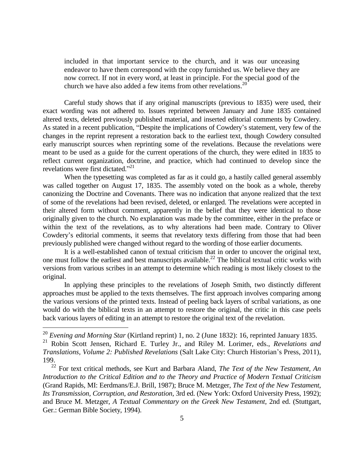included in that important service to the church, and it was our unceasing endeavor to have them correspond with the copy furnished us. We believe they are now correct. If not in every word, at least in principle. For the special good of the church we have also added a few items from other revelations.<sup>20</sup>

Careful study shows that if any original manuscripts (previous to 1835) were used, their exact wording was not adhered to. Issues reprinted between January and June 1835 contained altered texts, deleted previously published material, and inserted editorial comments by Cowdery. As stated in a recent publication, "Despite the implications of Cowdery's statement, very few of the changes in the reprint represent a restoration back to the earliest text, though Cowdery consulted early manuscript sources when reprinting some of the revelations. Because the revelations were meant to be used as a guide for the current operations of the church, they were edited in 1835 to reflect current organization, doctrine, and practice, which had continued to develop since the revelations were first dictated."<sup>21</sup>

When the typesetting was completed as far as it could go, a hastily called general assembly was called together on August 17, 1835. The assembly voted on the book as a whole, thereby canonizing the Doctrine and Covenants. There was no indication that anyone realized that the text of some of the revelations had been revised, deleted, or enlarged. The revelations were accepted in their altered form without comment, apparently in the belief that they were identical to those originally given to the church. No explanation was made by the committee, either in the preface or within the text of the revelations, as to why alterations had been made. Contrary to Oliver Cowdery's editorial comments, it seems that revelatory texts differing from those that had been previously published were changed without regard to the wording of those earlier documents.

It is a well-established canon of textual criticism that in order to uncover the original text, one must follow the earliest and best manuscripts available.<sup>22</sup> The biblical textual critic works with versions from various scribes in an attempt to determine which reading is most likely closest to the original.

In applying these principles to the revelations of Joseph Smith, two distinctly different approaches must be applied to the texts themselves. The first approach involves comparing among the various versions of the printed texts. Instead of peeling back layers of scribal variations, as one would do with the biblical texts in an attempt to restore the original, the critic in this case peels back various layers of editing in an attempt to restore the original text of the revelation.

<sup>20</sup> *Evening and Morning Star* (Kirtland reprint) 1, no. 2 (June 1832): 16, reprinted January 1835.

<sup>21</sup> Robin Scott Jensen, Richard E. Turley Jr., and Riley M. Lorimer, eds., *Revelations and Translations, Volume 2: Published Revelations* (Salt Lake City: Church Historian's Press, 2011), 199.

<sup>22</sup> For text critical methods, see Kurt and Barbara Aland, *The Text of the New Testament, An Introduction to the Critical Edition and to the Theory and Practice of Modern Textual Criticism* (Grand Rapids, MI: Eerdmans/E.J. Brill, 1987); Bruce M. Metzger, *The Text of the New Testament, Its Transmission, Corruption, and Restoration*, 3rd ed. (New York: Oxford University Press, 1992); and Bruce M. Metzger, *A Textual Commentary on the Greek New Testament*, 2nd ed. (Stuttgart, Ger.: German Bible Society, 1994).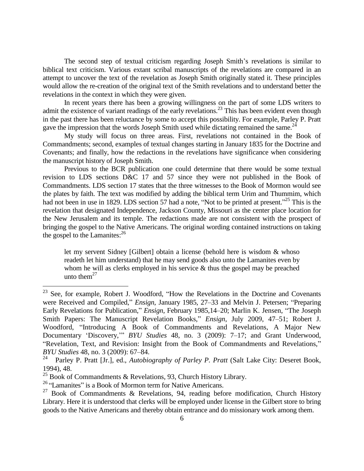The second step of textual criticism regarding Joseph Smith's revelations is similar to biblical text criticism. Various extant scribal manuscripts of the revelations are compared in an attempt to uncover the text of the revelation as Joseph Smith originally stated it. These principles would allow the re-creation of the original text of the Smith revelations and to understand better the revelations in the context in which they were given.

In recent years there has been a growing willingness on the part of some LDS writers to admit the existence of variant readings of the early revelations.<sup>23</sup> This has been evident even though in the past there has been reluctance by some to accept this possibility. For example, Parley P. Pratt gave the impression that the words Joseph Smith used while dictating remained the same. $^{24}$ 

My study will focus on three areas. First, revelations not contained in the Book of Commandments; second, examples of textual changes starting in January 1835 for the Doctrine and Covenants; and finally, how the redactions in the revelations have significance when considering the manuscript history of Joseph Smith.

Previous to the BCR publication one could determine that there would be some textual revision to LDS sections D&C 17 and 57 since they were not published in the Book of Commandments. LDS section 17 states that the three witnesses to the Book of Mormon would see the plates by faith. The text was modified by adding the biblical term Urim and Thummim, which had not been in use in 1829. LDS section 57 had a note, "Not to be printed at present."<sup>25</sup> This is the revelation that designated Independence, Jackson County, Missouri as the center place location for the New Jerusalem and its temple. The redactions made are not consistent with the prospect of bringing the gospel to the Native Americans. The original wording contained instructions on taking the gospel to the Lamanites: $2<sup>6</sup>$ 

let my servent Sidney [Gilbert] obtain a license (behold here is wisdom & whoso readeth let him understand) that he may send goods also unto the Lamanites even by whom he will as clerks employed in his service & thus the gospel may be preached unto them $^{27}$ 

 $23$  See, for example, Robert J. Woodford, "How the Revelations in the Doctrine and Covenants were Received and Compiled," *Ensign*, January 1985, 27–33 and Melvin J. Petersen; "Preparing Early Revelations for Publication," *Ensign*, February 1985,14–20; Marlin K. Jensen, "The Joseph Smith Papers: The Manuscript Revelation Books," *Ensign*, July 2009, 47–51; Robert J. Woodford, "Introducing A Book of Commandments and Revelations, A Major New Documentary 'Discovery,'" *BYU Studies* 48, no. 3 (2009): 7–17; and Grant Underwood, "Revelation, Text, and Revision: Insight from the Book of Commandments and Revelations," *BYU Studies* 48, no. 3 (2009): 67–84.<br><sup>24</sup> Parley P. Pratt Ur. 1, ed., *Autobio* 

<sup>24</sup> Parley P. Pratt [Jr.], ed., *Autobiography of Parley P. Pratt* (Salt Lake City: Deseret Book, 1994), 48.

<sup>&</sup>lt;sup>25</sup> Book of Commandments & Revelations, 93, Church History Library.

<sup>&</sup>lt;sup>26</sup> "Lamanites" is a Book of Mormon term for Native Americans.

<sup>&</sup>lt;sup>27</sup> Book of Commandments & Revelations, 94, reading before modification, Church History Library. Here it is understood that clerks will be employed under license in the Gilbert store to bring goods to the Native Americans and thereby obtain entrance and do missionary work among them.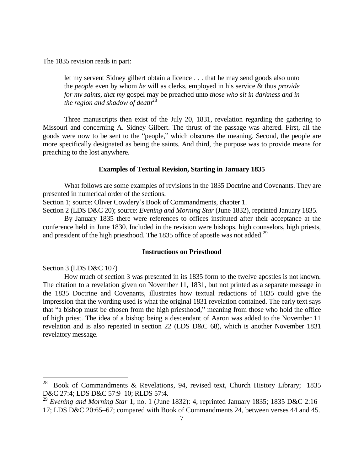The 1835 revision reads in part:

let my servent Sidney gilbert obtain a licence . . . that he may send goods also unto the *people* even by whom *he* will as clerks, employed in his service & thus *provide for my saints, that my* gospel may be preached unto *those who sit in darkness and in the region and shadow of death*<sup>28</sup>

Three manuscripts then exist of the July 20, 1831, revelation regarding the gathering to Missouri and concerning A. Sidney Gilbert. The thrust of the passage was altered. First, all the goods were now to be sent to the "people," which obscures the meaning. Second, the people are more specifically designated as being the saints. And third, the purpose was to provide means for preaching to the lost anywhere.

#### **Examples of Textual Revision, Starting in January 1835**

What follows are some examples of revisions in the 1835 Doctrine and Covenants. They are presented in numerical order of the sections.

Section 1; source: Oliver Cowdery's Book of Commandments, chapter 1.

Section 2 (LDS D&C 20); source: *Evening and Morning Star* (June 1832), reprinted January 1835.

By January 1835 there were references to offices instituted after their acceptance at the conference held in June 1830. Included in the revision were bishops, high counselors, high priests, and president of the high priesthood. The 1835 office of apostle was not added.<sup>29</sup>

## **Instructions on Priesthood**

Section 3 (LDS D&C 107)

How much of section 3 was presented in its 1835 form to the twelve apostles is not known. The citation to a revelation given on November 11, 1831, but not printed as a separate message in the 1835 Doctrine and Covenants, illustrates how textual redactions of 1835 could give the impression that the wording used is what the original 1831 revelation contained. The early text says that "a bishop must be chosen from the high priesthood," meaning from those who hold the office of high priest. The idea of a bishop being a descendant of Aaron was added to the November 11 revelation and is also repeated in section 22 (LDS D&C 68), which is another November 1831 revelatory message.

<sup>28</sup> <sup>28</sup> Book of Commandments & Revelations, 94, revised text, Church History Library; 1835 D&C 27:4; LDS D&C 57:9–10; RLDS 57:4.

<sup>&</sup>lt;sup>29</sup> Evening and Morning Star 1, no. 1 (June 1832): 4, reprinted January 1835; 1835 D&C 2:16– 17; LDS D&C 20:65–67; compared with Book of Commandments 24, between verses 44 and 45.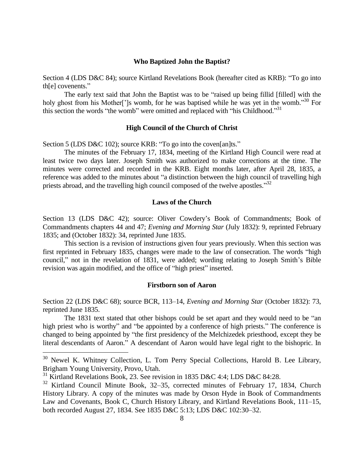## **Who Baptized John the Baptist?**

Section 4 (LDS D&C 84); source Kirtland Revelations Book (hereafter cited as KRB): "To go into th[e] covenents."

The early text said that John the Baptist was to be "raised up being fillid [filled] with the holy ghost from his Mother<sup>[']</sup>s womb, for he was baptised while he was yet in the womb.<sup>30</sup> For this section the words "the womb" were omitted and replaced with "his Childhood."<sup>31</sup>

## **High Council of the Church of Christ**

Section 5 (LDS D&C 102); source KRB: "To go into the coven[an]ts."

The minutes of the February 17, 1834, meeting of the Kirtland High Council were read at least twice two days later. Joseph Smith was authorized to make corrections at the time. The minutes were corrected and recorded in the KRB. Eight months later, after April 28, 1835, a reference was added to the minutes about "a distinction between the high council of travelling high priests abroad, and the travelling high council composed of the twelve apostles."32

### **Laws of the Church**

Section 13 (LDS D&C 42); source: Oliver Cowdery's Book of Commandments; Book of Commandments chapters 44 and 47; *Evening and Morning Star* (July 1832): 9, reprinted February 1835; and (October 1832): 34, reprinted June 1835.

This section is a revision of instructions given four years previously. When this section was first reprinted in February 1835, changes were made to the law of consecration. The words "high council," not in the revelation of 1831, were added; wording relating to Joseph Smith's Bible revision was again modified, and the office of "high priest" inserted.

### **Firstborn son of Aaron**

Section 22 (LDS D&C 68); source BCR, 113–14, *Evening and Morning Star* (October 1832): 73, reprinted June 1835.

The 1831 text stated that other bishops could be set apart and they would need to be "an high priest who is worthy" and "be appointed by a conference of high priests." The conference is changed to being appointed by "the first presidency of the Melchizedek priesthood, except they be literal descendants of Aaron." A descendant of Aaron would have legal right to the bishopric. In

 $30$  Newel K. Whitney Collection, L. Tom Perry Special Collections, Harold B. Lee Library, Brigham Young University, Provo, Utah.

<sup>&</sup>lt;sup>31</sup> Kirtland Revelations Book, 23. See revision in 1835 D&C 4:4; LDS D&C 84:28.

<sup>32</sup> Kirtland Council Minute Book, 32–35, corrected minutes of February 17, 1834, Church History Library. A copy of the minutes was made by Orson Hyde in Book of Commandments Law and Covenants, Book C, Church History Library, and Kirtland Revelations Book, 111–15, both recorded August 27, 1834. See 1835 D&C 5:13; LDS D&C 102:30–32.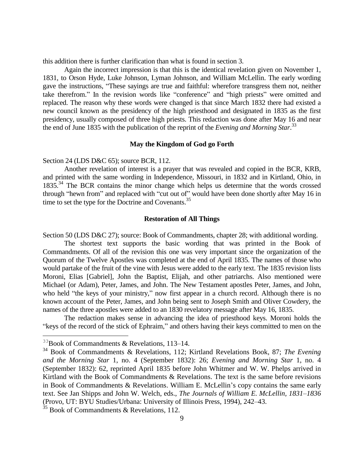this addition there is further clarification than what is found in section 3.

Again the incorrect impression is that this is the identical revelation given on November 1, 1831, to Orson Hyde, Luke Johnson, Lyman Johnson, and William McLellin. The early wording gave the instructions, "These sayings are true and faithful: wherefore transgress them not, neither take therefrom." In the revision words like "conference" and "high priests" were omitted and replaced. The reason why these words were changed is that since March 1832 there had existed a new council known as the presidency of the high priesthood and designated in 1835 as the first presidency, usually composed of three high priests. This redaction was done after May 16 and near the end of June 1835 with the publication of the reprint of the *Evening and Morning Star*. 33

#### **May the Kingdom of God go Forth**

Section 24 (LDS D&C 65); source BCR, 112.

Another revelation of interest is a prayer that was revealed and copied in the BCR, KRB, and printed with the same wording in Independence, Missouri, in 1832 and in Kirtland, Ohio, in 1835.<sup>34</sup> The BCR contains the minor change which helps us determine that the words crossed through "hewn from" and replaced with "cut out of" would have been done shortly after May 16 in time to set the type for the Doctrine and Covenants.<sup>35</sup>

### **Restoration of All Things**

Section 50 (LDS D&C 27); source: Book of Commandments, chapter 28; with additional wording.

The shortest text supports the basic wording that was printed in the Book of Commandments. Of all of the revision this one was very important since the organization of the Quorum of the Twelve Apostles was completed at the end of April 1835. The names of those who would partake of the fruit of the vine with Jesus were added to the early text. The 1835 revision lists Moroni, Elias [Gabriel], John the Baptist, Elijah, and other patriarchs. Also mentioned were Michael (or Adam), Peter, James, and John. The New Testament apostles Peter, James, and John, who held "the keys of your ministry," now first appear in a church record. Although there is no known account of the Peter, James, and John being sent to Joseph Smith and Oliver Cowdery, the names of the three apostles were added to an 1830 revelatory message after May 16, 1835.

The redaction makes sense in advancing the idea of priesthood keys. Moroni holds the "keys of the record of the stick of Ephraim," and others having their keys committed to men on the

 $33B$ ook of Commandments & Revelations, 113-14.

<sup>34</sup> Book of Commandments & Revelations, 112; Kirtland Revelations Book, 87; *The Evening and the Morning Star* 1, no. 4 (September 1832): 26; *Evening and Morning Star* 1, no. 4 (September 1832): 62, reprinted April 1835 before John Whitmer and W. W. Phelps arrived in Kirtland with the Book of Commandments & Revelations. The text is the same before revisions in Book of Commandments & Revelations. William E. McLellin's copy contains the same early text. See Jan Shipps and John W. Welch, eds., *The Journals of William E. McLellin, 1831–1836* (Provo, UT: BYU Studies/Urbana: University of Illinois Press, 1994), 242–43.

 $35$  Book of Commandments & Revelations, 112.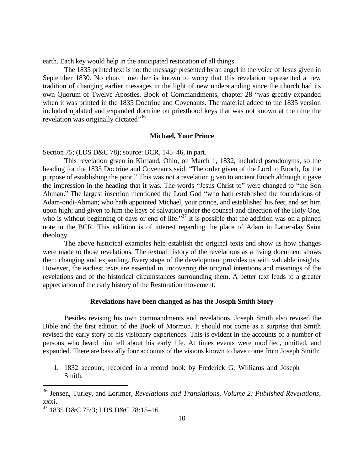earth. Each key would help in the anticipated restoration of all things.

The 1835 printed text is not the message presented by an angel in the voice of Jesus given in September 1830. No church member is known to worry that this revelation represented a new tradition of changing earlier messages in the light of new understanding since the church had its own Quorum of Twelve Apostles. Book of Commandments, chapter 28 "was greatly expanded when it was printed in the 1835 Doctrine and Covenants. The material added to the 1835 version included updated and expanded doctrine on priesthood keys that was not known at the time the revelation was originally dictated"<sup>36</sup>

#### **Michael, Your Prince**

Section 75; (LDS D&C 78); source: BCR, 145–46, in part.

This revelation given in Kirtland, Ohio, on March 1, 1832, included pseudonyms, so the heading for the 1835 Doctrine and Covenants said: "The order given of the Lord to Enoch, for the purpose of establishing the poor." This was not a revelation given to ancient Enoch although it gave the impression in the heading that it was. The words "Jesus Christ to" were changed to "the Son Ahman." The largest insertion mentioned the Lord God "who hath established the foundations of Adam-ondi-Ahman; who hath appointed Michael, your prince, and established his feet, and set him upon high; and given to him the keys of salvation under the counsel and direction of the Holy One, who is without beginning of days or end of life."<sup>37</sup> It is possible that the addition was on a pinned note in the BCR. This addition is of interest regarding the place of Adam in Latter-day Saint theology.

The above historical examples help establish the original texts and show us how changes were made to those revelations. The textual history of the revelations as a living document shows them changing and expanding. Every stage of the development provides us with valuable insights. However, the earliest texts are essential in uncovering the original intentions and meanings of the revelations and of the historical circumstances surrounding them. A better text leads to a greater appreciation of the early history of the Restoration movement.

#### **Revelations have been changed as has the Joseph Smith Story**

Besides revising his own commandments and revelations, Joseph Smith also revised the Bible and the first edition of the Book of Mormon. It should not come as a surprise that Smith revised the early story of his visionary experiences. This is evident in the accounts of a number of persons who heard him tell about his early life. At times events were modified, omitted, and expanded. There are basically four accounts of the visions known to have come from Joseph Smith:

1. 1832 account, recorded in a record book by Frederick G. Williams and Joseph Smith.

<sup>36</sup> Jensen, Turley, and Lorimer, *Revelations and Translations, Volume 2: Published Revelations*, xxxi.

<sup>37</sup> 1835 D&C 75:3; LDS D&C 78:15–16.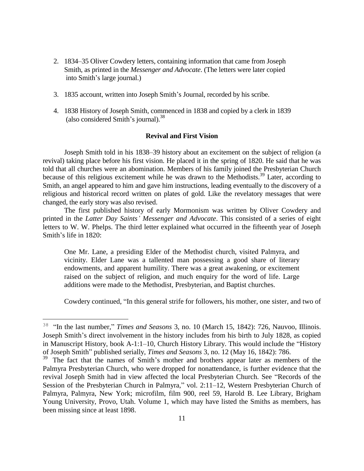- 2. 1834–35 Oliver Cowdery letters, containing information that came from Joseph Smith, as printed in the *Messenger and Advocate*. (The letters were later copied into Smith's large journal.)
- 3. 1835 account, written into Joseph Smith's Journal, recorded by his scribe.
- 4. 1838 History of Joseph Smith, commenced in 1838 and copied by a clerk in 1839 (also considered Smith's journal).<sup>38</sup>

## **Revival and First Vision**

Joseph Smith told in his 1838–39 history about an excitement on the subject of religion (a revival) taking place before his first vision. He placed it in the spring of 1820. He said that he was told that all churches were an abomination. Members of his family joined the Presbyterian Church because of this religious excitement while he was drawn to the Methodists.<sup>39</sup> Later, according to Smith, an angel appeared to him and gave him instructions, leading eventually to the discovery of a religious and historical record written on plates of gold. Like the revelatory messages that were changed, the early story was also revised.

The first published history of early Mormonism was written by Oliver Cowdery and printed in the *Latter Day Saints' Messenger and Advocate*. This consisted of a series of eight letters to W. W. Phelps. The third letter explained what occurred in the fifteenth year of Joseph Smith's life in 1820:

One Mr. Lane, a presiding Elder of the Methodist church, visited Palmyra, and vicinity. Elder Lane was a tallented man possessing a good share of literary endowments, and apparent humility. There was a great awakening, or excitement raised on the subject of religion, and much enquiry for the word of life. Large additions were made to the Methodist, Presbyterian, and Baptist churches.

Cowdery continued, "In this general strife for followers, his mother, one sister, and two of

<sup>&</sup>lt;sup>38</sup> "In the last number," *Times and Seasons* 3, no. 10 (March 15, 1842): 726, Nauvoo, Illinois. Joseph Smith's direct involvement in the history includes from his birth to July 1828, as copied in Manuscript History, book A-1:1–10, Church History Library. This would include the "History of Joseph Smith" published serially, *Times and Seasons* 3, no. 12 (May 16, 1842): 786.

<sup>&</sup>lt;sup>39</sup> The fact that the names of Smith's mother and brothers appear later as members of the Palmyra Presbyterian Church, who were dropped for nonattendance, is further evidence that the revival Joseph Smith had in view affected the local Presbyterian Church. See "Records of the Session of the Presbyterian Church in Palmyra," vol. 2:11–12, Western Presbyterian Church of Palmyra, Palmyra, New York; microfilm, film 900, reel 59, Harold B. Lee Library, Brigham Young University, Provo, Utah. Volume 1, which may have listed the Smiths as members, has been missing since at least 1898.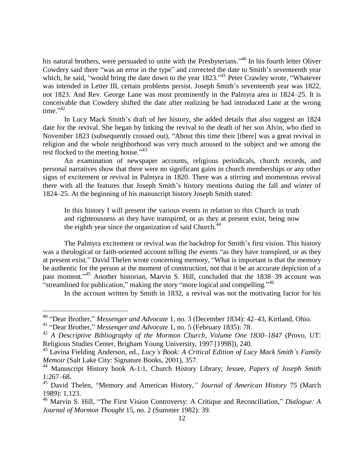his natural brothers, were persuaded to unite with the Presbyterians."<sup>40</sup> In his fourth letter Oliver Cowdery said there "was an error in the type" and corrected the date to Smith's seventeenth year which, he said, "would bring the date down to the year 1823."<sup>41</sup> Peter Crawley wrote, "Whatever was intended in Letter III, certain problems persist. Joseph Smith's seventeenth year was 1822, not 1823. And Rev. George Lane was most prominently in the Palmyra area in 1824–25. It is conceivable that Cowdery shifted the date after realizing he had introduced Lane at the wrong time." $42$ 

In Lucy Mack Smith's draft of her history, she added details that also suggest an 1824 date for the revival. She began by linking the revival to the death of her son Alvin, who died in November 1823 (subsequently crossed out), "About this time their [there] was a great revival in religion and the whole neighborhood was very much aroused to the subject and we among the rest flocked to the meeting house."<sup>43</sup>

An examination of newspaper accounts, religious periodicals, church records, and personal narratives show that there were no significant gains in church memberships or any other signs of excitement or revival in Palmyra in 1820. There was a stirring and momentous revival there with all the features that Joseph Smith's history mentions during the fall and winter of 1824–25. At the beginning of his manuscript history Joseph Smith stated:

In this history I will present the various events in relation to this Church in truth and righteousness as they have transpired, or as they at present exist, being now the eighth year since the organization of said Church.<sup>44</sup>

The Palmyra excitement or revival was the backdrop for Smith's first vision. This history was a theological or faith-oriented account telling the events "as they have transpired, or as they at present exist." David Thelen wrote concerning memory, "What is important is that the memory be authentic for the person at the moment of construction, not that it be an accurate depiction of a past moment." <sup>45</sup> Another historian, Marvin S. Hill, concluded that the 1838–39 account was "streamlined for publication," making the story "more logical and compelling."<sup>46</sup>

In the account written by Smith in 1832, a revival was not the motivating factor for his

<sup>40</sup> "Dear Brother," *Messenger and Advocate* 1, no. 3 (December 1834): 42–43, Kirtland, Ohio.

<sup>41</sup> "Dear Brother," *Messenger and Advocate* 1, no. 5 (February 1835): 78.

<sup>42</sup> *A Descriptive Bibliography of the Mormon Church*, *Volume One 1830–1847* (Provo, UT: Religious Studies Center, Brigham Young University, 1997 [1998]), 240.

<sup>43</sup> Lavina Fielding Anderson, ed., *Lucy's Book: A Critical Edition of Lucy Mack Smith's Family Memoir* (Salt Lake City: Signature Books, 2001), 357.

<sup>44</sup> Manuscript History book A-1:1, Church History Library; Jessee, *Papers of Joseph Smith* 1:267–68.

<sup>45</sup> David Thelen, "Memory and American History*," Journal of American History* 75 (March 1989): 1,123.

<sup>46</sup> Marvin S. Hill, "The First Vision Controversy: A Critique and Reconciliation," *Dialogue: A Journal of Mormon Thought* 15, no. 2 (Summer 1982): 39.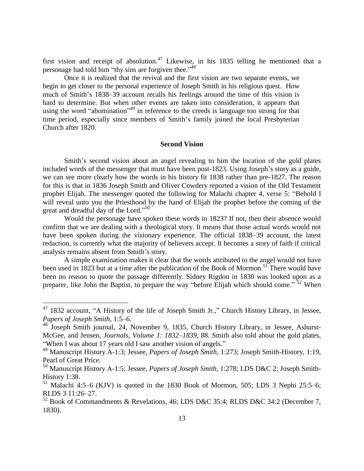first vision and receipt of absolution.<sup>47</sup> Likewise, in his 1835 telling he mentioned that a personage had told him "thy sins are forgiven thee."  $48$ 

Once it is realized that the revival and the first vision are two separate events, we begin to get closer to the personal experience of Joseph Smith in his religious quest. How much of Smith's 1838–39 account recalls his feelings around the time of this vision is hard to determine. But when other events are taken into consideration, it appears that using the word "abomination"<sup>49</sup> in reference to the creeds is language too strong for that time period, especially since members of Smith's family joined the local Presbyterian Church after 1820.

### **Second Vision**

Smith's second vision about an angel revealing to him the location of the gold plates included words of the messenger that must have been post-1823. Using Joseph's story as a guide, we can see more clearly how the words in his history fit 1838 rather than pre-1827. The reason for this is that in 1836 Joseph Smith and Oliver Cowdery reported a vision of the Old Testament prophet Elijah. The messenger quoted the following for Malachi chapter 4, verse 5: "Behold I will reveal unto you the Priesthood by the hand of Elijah the prophet before the coming of the great and dreadful day of the Lord."<sup>50</sup>

Would the personage have spoken these words in 1823? If not, then their absence would confirm that we are dealing with a theological story. It means that those actual words would not have been spoken during the visionary experience. The official 1838–39 account, the latest redaction, is currently what the majority of believers accept. It becomes a story of faith if critical analysis remains absent from Smith's story.

A simple examination makes it clear that the words attributed to the angel would not have been used in 1823 but at a time after the publication of the Book of Mormon.<sup>51</sup> There would have been no reason to quote the passage differently. Sidney Rigdon in 1830 was looked upon as a preparer, like John the Baptist, to prepare the way "before Elijah which should come."<sup>52</sup> When

<sup>&</sup>lt;sup>47</sup> 1832 account, "A History of the life of Joseph Smith Jr.," Church History Library, in Jessee, *Papers of Joseph Smith*, 1:5–6.

<sup>48</sup> Joseph Smith journal, 24, November 9, 1835, Church History Library, in Jessee, Ashurst-McGee, and Jensen, *Journals, Volume 1: 1832–1839*, 88. Smith also told about the gold plates, "When I was about 17 years old I saw another vision of angels."

<sup>49</sup> Manuscript History A-1:3; Jessee, *Papers of Joseph Smith*, 1:273; Joseph Smith-History, 1:19, Pearl of Great Price.

<sup>50</sup> Manuscript History A-1:5; Jessee, *Papers of Joseph Smith*, 1:278; LDS D&C 2; Joseph Smith-History 1:38.

 $51$  Malachi 4:5–6 (KJV) is quoted in the 1830 Book of Mormon, 505; LDS 3 Nephi 25:5–6; RLDS 3 11:26–27.

 $52$  Book of Commandments & Revelations, 46; LDS D&C 35:4; RLDS D&C 34:2 (December 7, 1830).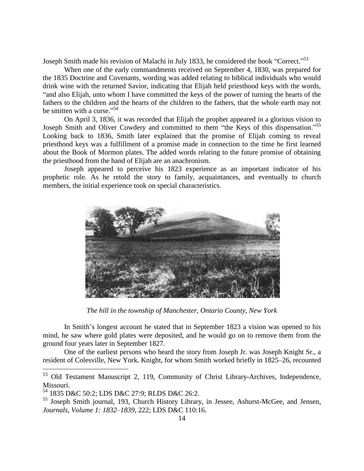Joseph Smith made his revision of Malachi in July 1833, he considered the book "Correct."<sup>53</sup>

When one of the early commandments received on September 4, 1830, was prepared for the 1835 Doctrine and Covenants, wording was added relating to biblical individuals who would drink wine with the returned Savior, indicating that Elijah held priesthood keys with the words, "and also Elijah, unto whom I have committed the keys of the power of turning the hearts of the fathers to the children and the hearts of the children to the fathers, that the whole earth may not be smitten with a curse."<sup>54</sup>

On April 3, 1836, it was recorded that Elijah the prophet appeared in a glorious vision to Joseph Smith and Oliver Cowdery and committed to them "the Keys of this dispensation."<sup>55</sup> Looking back to 1836, Smith later explained that the promise of Elijah coming to reveal priesthood keys was a fulfillment of a promise made in connection to the time he first learned about the Book of Mormon plates. The added words relating to the future promise of obtaining the priesthood from the hand of Elijah are an anachronism.

Joseph appeared to perceive his 1823 experience as an important indicator of his prophetic role. As he retold the story to family, acquaintances, and eventually to church members, the initial experience took on special characteristics.



*The hill in the township of Manchester, Ontario County, New York*

In Smith's longest account he stated that in September 1823 a vision was opened to his mind, he saw where gold plates were deposited, and he would go on to remove them from the ground four years later in September 1827.

One of the earliest persons who heard the story from Joseph Jr. was Joseph Knight Sr., a resident of Colesville, New York. Knight, for whom Smith worked briefly in 1825–26, recounted

<sup>53</sup> Old Testament Manuscript 2, 119, Community of Christ Library-Archives, Independence, Missouri.

<sup>54</sup> 1835 D&C 50:2; LDS D&C 27:9; RLDS D&C 26:2.

<sup>55</sup> Joseph Smith journal, 193, Church History Library, in Jessee, Ashurst-McGee, and Jensen, *Journals, Volume 1: 1832–1839*, 222; LDS D&C 110:16.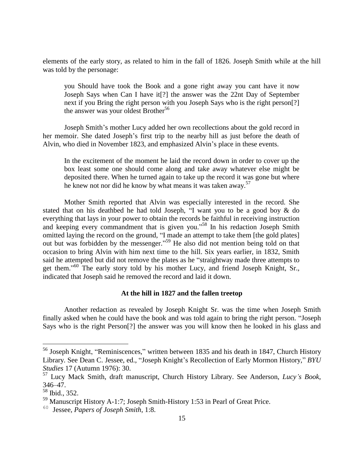elements of the early story, as related to him in the fall of 1826. Joseph Smith while at the hill was told by the personage:

you Should have took the Book and a gone right away you cant have it now Joseph Says when Can I have it[?] the answer was the 22nt Day of September next if you Bring the right person with you Joseph Says who is the right person[?] the answer was your oldest Brother<sup>56</sup>

Joseph Smith's mother Lucy added her own recollections about the gold record in her memoir. She dated Joseph's first trip to the nearby hill as just before the death of Alvin, who died in November 1823, and emphasized Alvin's place in these events.

In the excitement of the moment he laid the record down in order to cover up the box least some one should come along and take away whatever else might be deposited there. When he turned again to take up the record it was gone but where he knew not nor did he know by what means it was taken away.<sup>57</sup>

Mother Smith reported that Alvin was especially interested in the record. She stated that on his deathbed he had told Joseph, "I want you to be a good boy & do everything that lays in your power to obtain the records be faithful in receiving instruction and keeping every commandment that is given you." <sup>58</sup> In his redaction Joseph Smith omitted laying the record on the ground, "I made an attempt to take them [the gold plates] out but was forbidden by the messenger." <sup>59</sup> He also did not mention being told on that occasion to bring Alvin with him next time to the hill. Six years earlier, in 1832, Smith said he attempted but did not remove the plates as he "straightway made three attempts to get them."<sup>60</sup> The early story told by his mother Lucy, and friend Joseph Knight, Sr., indicated that Joseph said he removed the record and laid it down.

## **At the hill in 1827 and the fallen treetop**

Another redaction as revealed by Joseph Knight Sr. was the time when Joseph Smith finally asked when he could have the book and was told again to bring the right person. "Joseph Says who is the right Person[?] the answer was you will know then he looked in his glass and

<sup>56</sup> Joseph Knight, "Reminiscences," written between 1835 and his death in 1847, Church History Library. See Dean C. Jessee, ed., "Joseph Knight's Recollection of Early Mormon History," *BYU Studies* 17 (Autumn 1976): 30.

<sup>57</sup> Lucy Mack Smith, draft manuscript, Church History Library. See Anderson, *Lucy's Book*, 346–47.

<sup>58</sup> Ibid., 352.

<sup>59</sup> Manuscript History A-1:7; Joseph Smith-History 1:53 in Pearl of Great Price.

<sup>60</sup> Jessee, *Papers of Joseph Smith*, 1:8.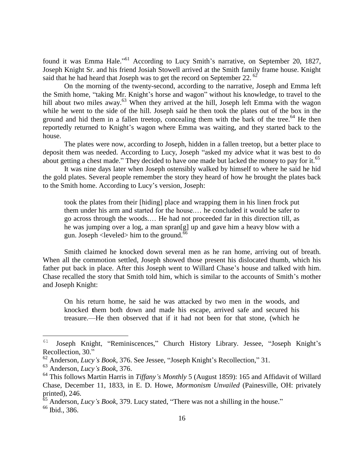found it was Emma Hale."<sup>61</sup> According to Lucy Smith's narrative, on September 20, 1827, Joseph Knight Sr. and his friend Josiah Stowell arrived at the Smith family frame house. Knight said that he had heard that Joseph was to get the record on September 22.<sup>62</sup>

On the morning of the twenty-second, according to the narrative, Joseph and Emma left the Smith home, "taking Mr. Knight's horse and wagon" without his knowledge, to travel to the hill about two miles away.<sup>63</sup> When they arrived at the hill, Joseph left Emma with the wagon while he went to the side of the hill. Joseph said he then took the plates out of the box in the ground and hid them in a fallen treetop, concealing them with the bark of the tree.<sup>64</sup> He then reportedly returned to Knight's wagon where Emma was waiting, and they started back to the house.

The plates were now, according to Joseph, hidden in a fallen treetop, but a better place to deposit them was needed. According to Lucy, Joseph "asked my advice what it was best to do about getting a chest made." They decided to have one made but lacked the money to pay for it.<sup>65</sup>

It was nine days later when Joseph ostensibly walked by himself to where he said he hid the gold plates. Several people remember the story they heard of how he brought the plates back to the Smith home. According to Lucy's version, Joseph:

took the plates from their [hiding] place and wrapping them in his linen frock put them under his arm and started for the house.… he concluded it would be safer to go across through the woods.… He had not proceeded far in this direction till, as he was jumping over a log, a man spran[g] up and gave him a heavy blow with a gun. Joseph  $\leq$  leveled $\geq$  him to the ground.<sup>6</sup>

Smith claimed he knocked down several men as he ran home, arriving out of breath. When all the commotion settled, Joseph showed those present his dislocated thumb, which his father put back in place. After this Joseph went to Willard Chase's house and talked with him. Chase recalled the story that Smith told him, which is similar to the accounts of Smith's mother and Joseph Knight:

On his return home, he said he was attacked by two men in the woods, and knocked **t**hem both down and made his escape, arrived safe and secured his treasure.—He then observed that if it had not been for that stone, (which he

<sup>61</sup> Joseph Knight, "Reminiscences," Church History Library. Jessee, "Joseph Knight's Recollection, 30."

<sup>62</sup> Anderson, *Lucy's Book*, 376. See Jessee, "Joseph Knight's Recollection," 31.

<sup>63</sup> Anderson, *Lucy's Book*, 376.

<sup>64</sup> This follows Martin Harris in *Tiffany's Monthly* 5 (August 1859): 165 and Affidavit of Willard Chase, December 11, 1833, in E. D. Howe, *Mormonism Unvailed* (Painesville, OH: privately printed), 246.

<sup>65</sup> Anderson, *Lucy's Book*, 379. Lucy stated, "There was not a shilling in the house."

<sup>66</sup> Ibid., 386.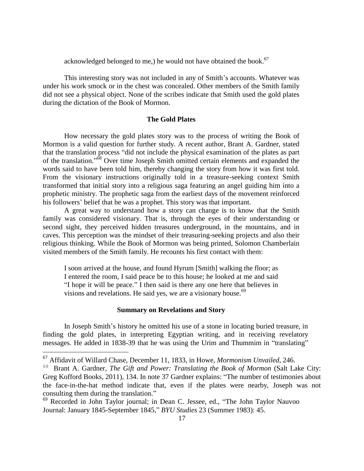acknowledged belonged to me,) he would not have obtained the book. $67$ 

This interesting story was not included in any of Smith's accounts. Whatever was under his work smock or in the chest was concealed. Other members of the Smith family did not see a physical object. None of the scribes indicate that Smith used the gold plates during the dictation of the Book of Mormon.

## **The Gold Plates**

How necessary the gold plates story was to the process of writing the Book of Mormon is a valid question for further study. A recent author, Brant A. Gardner, stated that the translation process "did not include the physical examination of the plates as part of the translation."<sup>68</sup> Over time Joseph Smith omitted certain elements and expanded the words said to have been told him, thereby changing the story from how it was first told. From the visionary instructions originally told in a treasure-seeking context Smith transformed that initial story into a religious saga featuring an angel guiding him into a prophetic ministry. The prophetic saga from the earliest days of the movement reinforced his followers' belief that he was a prophet. This story was that important.

A great way to understand how a story can change is to know that the Smith family was considered visionary. That is, through the eyes of their understanding or second sight, they perceived hidden treasures underground, in the mountains, and in caves. This perception was the mindset of their treasuring-seeking projects and also their religious thinking. While the Book of Mormon was being printed, Solomon Chamberlain visited members of the Smith family. He recounts his first contact with them:

I soon arrived at the house, and found Hyrum [Smith] walking the floor; as I entered the room, I said peace be to this house; he looked at me and said "I hope it will be peace." I then said is there any one here that believes in visions and revelations. He said yes, we are a visionary house.<sup>69</sup>

#### **Summary on Revelations and Story**

In Joseph Smith's history he omitted his use of a stone in locating buried treasure, in finding the gold plates, in interpreting Egyptian writing, and in receiving revelatory messages. He added in 1838-39 that he was using the Urim and Thummim in "translating"

<sup>67</sup> Affidavit of Willard Chase, December 11, 1833, in Howe, *Mormonism Unvailed*, 246.

<sup>68</sup> Brant A. Gardner, *The Gift and Power: Translating the Book of Mormon* (Salt Lake City: Greg Kofford Books, 2011), 134. In note 37 Gardner explains: "The number of testimonies about the face-in-the-hat method indicate that, even if the plates were nearby, Joseph was not consulting them during the translation."

<sup>69</sup> Recorded in John Taylor journal; in Dean C. Jessee, ed., "The John Taylor Nauvoo Journal: January 1845-September 1845," *BYU Studies* 23 (Summer 1983): 45.